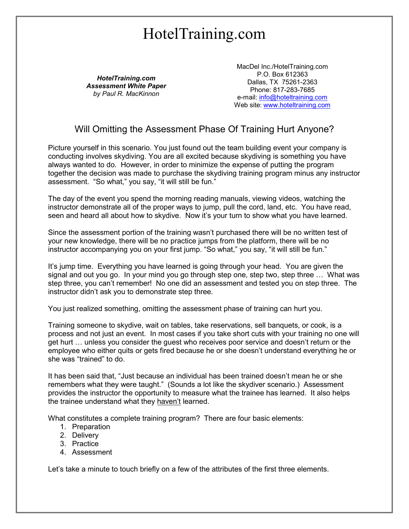# HotelTraining.com

*HotelTraining.com Assessment White Paper by Paul R. MacKinnon*

MacDel Inc./HotelTraining.com P.O. Box 612363 Dallas, TX 75261-2363 Phone: 817-283-7685 e-mail: info@hoteltraining.com Web site: www.hoteltraining.com

# Will Omitting the Assessment Phase Of Training Hurt Anyone?

Picture yourself in this scenario. You just found out the team building event your company is conducting involves skydiving. You are all excited because skydiving is something you have always wanted to do. However, in order to minimize the expense of putting the program together the decision was made to purchase the skydiving training program minus any instructor assessment. "So what," you say, "it will still be fun."

The day of the event you spend the morning reading manuals, viewing videos, watching the instructor demonstrate all of the proper ways to jump, pull the cord, land, etc. You have read, seen and heard all about how to skydive. Now it's your turn to show what you have learned.

Since the assessment portion of the training wasn't purchased there will be no written test of your new knowledge, there will be no practice jumps from the platform, there will be no instructor accompanying you on your first jump. "So what," you say, "it will still be fun."

It's jump time. Everything you have learned is going through your head. You are given the signal and out you go. In your mind you go through step one, step two, step three … What was step three, you can't remember! No one did an assessment and tested you on step three. The instructor didn't ask you to demonstrate step three.

You just realized something, omitting the assessment phase of training can hurt you.

Training someone to skydive, wait on tables, take reservations, sell banquets, or cook, is a process and not just an event. In most cases if you take short cuts with your training no one will get hurt … unless you consider the guest who receives poor service and doesn't return or the employee who either quits or gets fired because he or she doesn't understand everything he or she was "trained" to do.

It has been said that, "Just because an individual has been trained doesn't mean he or she remembers what they were taught." (Sounds a lot like the skydiver scenario.) Assessment provides the instructor the opportunity to measure what the trainee has learned. It also helps the trainee understand what they haven't learned.

What constitutes a complete training program? There are four basic elements:

- 1. Preparation
- 2. Delivery
- 3. Practice
- 4. Assessment

Let's take a minute to touch briefly on a few of the attributes of the first three elements.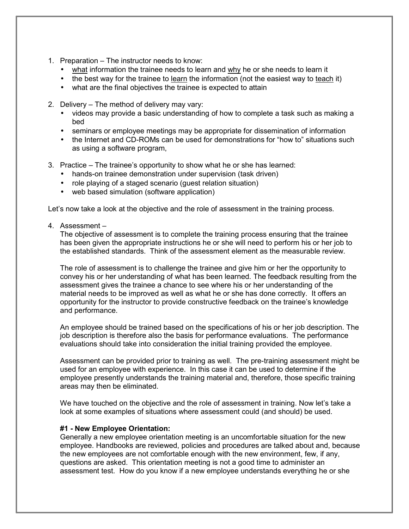- 1. Preparation The instructor needs to know:
	- what information the trainee needs to learn and why he or she needs to learn it
	- the best way for the trainee to learn the information (not the easiest way to teach it)
	- what are the final objectives the trainee is expected to attain
- 2. Delivery The method of delivery may vary:
	- videos may provide a basic understanding of how to complete a task such as making a bed
	- seminars or employee meetings may be appropriate for dissemination of information
	- the Internet and CD-ROMs can be used for demonstrations for "how to" situations such as using a software program,
- 3. Practice The trainee's opportunity to show what he or she has learned:
	- hands-on trainee demonstration under supervision (task driven)
	- role playing of a staged scenario (quest relation situation)
	- web based simulation (software application)

Let's now take a look at the objective and the role of assessment in the training process.

4. Assessment –

The objective of assessment is to complete the training process ensuring that the trainee has been given the appropriate instructions he or she will need to perform his or her job to the established standards. Think of the assessment element as the measurable review.

The role of assessment is to challenge the trainee and give him or her the opportunity to convey his or her understanding of what has been learned. The feedback resulting from the assessment gives the trainee a chance to see where his or her understanding of the material needs to be improved as well as what he or she has done correctly. It offers an opportunity for the instructor to provide constructive feedback on the trainee's knowledge and performance.

An employee should be trained based on the specifications of his or her job description. The job description is therefore also the basis for performance evaluations. The performance evaluations should take into consideration the initial training provided the employee.

Assessment can be provided prior to training as well. The pre-training assessment might be used for an employee with experience. In this case it can be used to determine if the employee presently understands the training material and, therefore, those specific training areas may then be eliminated.

We have touched on the objective and the role of assessment in training. Now let's take a look at some examples of situations where assessment could (and should) be used.

#### **#1 - New Employee Orientation:**

Generally a new employee orientation meeting is an uncomfortable situation for the new employee. Handbooks are reviewed, policies and procedures are talked about and, because the new employees are not comfortable enough with the new environment, few, if any, questions are asked. This orientation meeting is not a good time to administer an assessment test. How do you know if a new employee understands everything he or she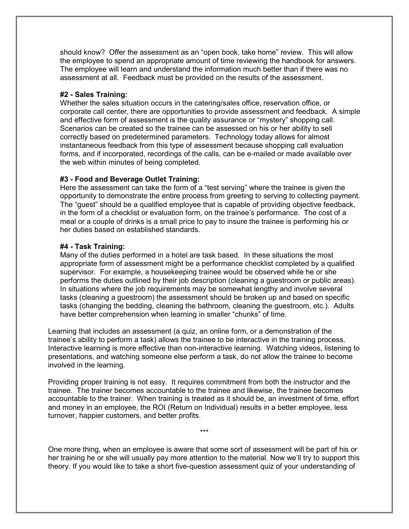should know? Offer the assessment as an "open book, take home" review. This will allow the employee to spend an appropriate amount of time reviewing the handbook for answers. The employee will learn and understand the information much better than if there was no assessment at all. Feedback must be provided on the results of the assessment.

### **#2 - Sales Training:**

Whether the sales situation occurs in the catering/sales office, reservation office, or corporate call center, there are opportunities to provide assessment and feedback. A simple and effective form of assessment is the quality assurance or "mystery" shopping call. Scenarios can be created so the trainee can be assessed on his or her ability to sell correctly based on predetermined parameters. Technology today allows for almost instantaneous feedback from this type of assessment because shopping call evaluation forms, and if incorporated, recordings of the calls, can be e-mailed or made available over the web within minutes of being completed.

## **#3 - Food and Beverage Outlet Training:**

Here the assessment can take the form of a "test serving" where the trainee is given the opportunity to demonstrate the entire process from greeting to serving to collecting payment. The "guest" should be a qualified employee that is capable of providing objective feedback, in the form of a checklist or evaluation form, on the trainee's performance. The cost of a meal or a couple of drinks is a small price to pay to insure the trainee is performing his or her duties based on established standards.

#### **#4 - Task Training:**

Many of the duties performed in a hotel are task based. In these situations the most appropriate form of assessment might be a performance checklist completed by a qualified supervisor. For example, a housekeeping trainee would be observed while he or she performs the duties outlined by their job description (cleaning a guestroom or public areas). In situations where the job requirements may be somewhat lengthy and involve several tasks (cleaning a guestroom) the assessment should be broken up and based on specific tasks (changing the bedding, cleaning the bathroom, cleaning the guestroom, etc.). Adults have better comprehension when learning in smaller "chunks" of time.

Learning that includes an assessment (a quiz, an online form, or a demonstration of the trainee's ability to perform a task) allows the trainee to be interactive in the training process. Interactive learning is more effective than non-interactive learning. Watching videos, listening to presentations, and watching someone else perform a task, do not allow the trainee to become involved in the learning.

Providing proper training is not easy. It requires commitment from both the instructor and the trainee. The trainer becomes accountable to the trainee and likewise, the trainee becomes accountable to the trainer. When training is treated as it should be, an investment of time, effort and money in an employee, the ROI (Return on Individual) results in a better employee, less turnover, happier customers, and better profits.

One more thing, when an employee is aware that some sort of assessment will be part of his or her training he or she will usually pay more attention to the material. Now we'll try to support this theory. If you would like to take a short five-question assessment quiz of your understanding of

\*\*\*